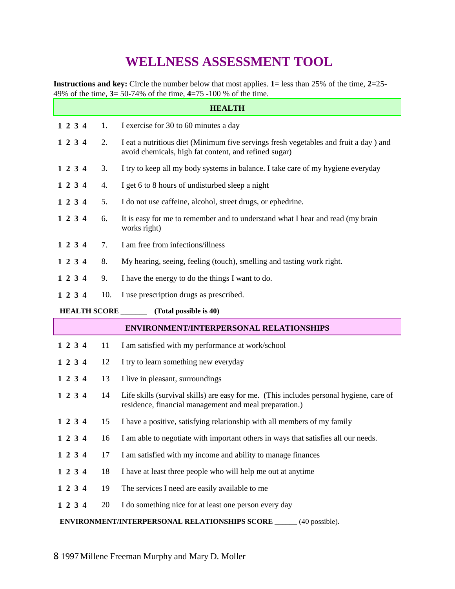## **WELLNESS ASSESSMENT TOOL**

**Instructions and key:** Circle the number below that most applies. **1**= less than 25% of the time, **2**=25- 49% of the time, **3**= 50-74% of the time, **4**=75 -100 % of the time.

| <b>HEALTH</b>                                                           |     |                                                                                                                                                   |  |  |  |
|-------------------------------------------------------------------------|-----|---------------------------------------------------------------------------------------------------------------------------------------------------|--|--|--|
| 1 2 3 4                                                                 | 1.  | I exercise for 30 to 60 minutes a day                                                                                                             |  |  |  |
| 1 2 3 4                                                                 | 2.  | I eat a nutritious diet (Minimum five servings fresh vegetables and fruit a day) and<br>avoid chemicals, high fat content, and refined sugar)     |  |  |  |
| 1 2 3 4                                                                 | 3.  | I try to keep all my body systems in balance. I take care of my hygiene everyday                                                                  |  |  |  |
| 1 2 3 4                                                                 | 4.  | I get 6 to 8 hours of undisturbed sleep a night                                                                                                   |  |  |  |
| 1 2 3 4                                                                 | 5.  | I do not use caffeine, alcohol, street drugs, or ephedrine.                                                                                       |  |  |  |
| 1 2 3 4                                                                 | 6.  | It is easy for me to remember and to understand what I hear and read (my brain<br>works right)                                                    |  |  |  |
| 1 2 3 4                                                                 | 7.  | I am free from infections/illness                                                                                                                 |  |  |  |
| 1 2 3 4                                                                 | 8.  | My hearing, seeing, feeling (touch), smelling and tasting work right.                                                                             |  |  |  |
| 1 2 3 4                                                                 | 9.  | I have the energy to do the things I want to do.                                                                                                  |  |  |  |
| 1 2 3 4                                                                 | 10. | I use prescription drugs as prescribed.                                                                                                           |  |  |  |
| <b>HEALTH SCORE</b>                                                     |     | (Total possible is 40)                                                                                                                            |  |  |  |
|                                                                         |     | <b>ENVIRONMENT/INTERPERSONAL RELATIONSHIPS</b>                                                                                                    |  |  |  |
| 1 2 3 4                                                                 | 11  | I am satisfied with my performance at work/school                                                                                                 |  |  |  |
| 1 2 3 4                                                                 | 12  | I try to learn something new everyday                                                                                                             |  |  |  |
| 1 2 3 4                                                                 | 13  | I live in pleasant, surroundings                                                                                                                  |  |  |  |
| 1 2 3 4                                                                 | 14  | Life skills (survival skills) are easy for me. (This includes personal hygiene, care of<br>residence, financial management and meal preparation.) |  |  |  |
| 1 2 3 4                                                                 | 15  | I have a positive, satisfying relationship with all members of my family                                                                          |  |  |  |
| 1 2 3 4                                                                 | 16  | I am able to negotiate with important others in ways that satisfies all our needs.                                                                |  |  |  |
| 1 2 3 4                                                                 | 17  | I am satisfied with my income and ability to manage finances                                                                                      |  |  |  |
| 1 2 3 4                                                                 | 18  | I have at least three people who will help me out at anytime                                                                                      |  |  |  |
| 1 2 3 4                                                                 | 19  | The services I need are easily available to me                                                                                                    |  |  |  |
| 1 2 3 4                                                                 | 20  | I do something nice for at least one person every day                                                                                             |  |  |  |
| ENVIRONMENT/INTERPERSONAL RELATIONSHIPS SCORE _____<br>$(40$ possible). |     |                                                                                                                                                   |  |  |  |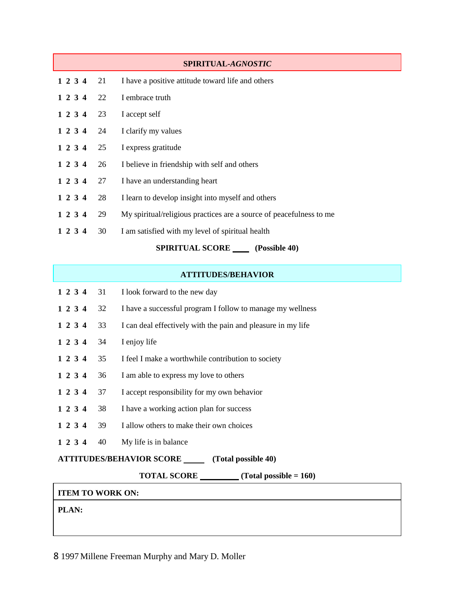|         |    | SPIRITUAL-AGNOSTIC                                                  |
|---------|----|---------------------------------------------------------------------|
| 1 2 3 4 | 21 | I have a positive attitude toward life and others                   |
| 1 2 3 4 | 22 | I embrace truth                                                     |
| 1 2 3 4 | 23 | I accept self                                                       |
| 1 2 3 4 | 24 | I clarify my values                                                 |
| 1 2 3 4 | 25 | I express gratitude                                                 |
| 1 2 3 4 | 26 | I believe in friendship with self and others                        |
| 1 2 3 4 | 27 | I have an understanding heart                                       |
| 1 2 3 4 | 28 | I learn to develop insight into myself and others                   |
| 1 2 3 4 | 29 | My spiritual/religious practices are a source of peacefulness to me |
| 1 2 3 4 | 30 | I am satisfied with my level of spiritual health                    |
|         |    | <b>SPIRITUAL SCORE</b><br>(Possible 40)                             |

## **ATTITUDES/BEHAVIOR**

| 1 2 3 4                                                | 31 | I look forward to the new day                                |  |  |
|--------------------------------------------------------|----|--------------------------------------------------------------|--|--|
| 1 2 3 4                                                | 32 | I have a successful program I follow to manage my wellness   |  |  |
| 1 2 3 4                                                | 33 | I can deal effectively with the pain and pleasure in my life |  |  |
| 1 2 3 4                                                | 34 | I enjoy life                                                 |  |  |
| 1 2 3 4                                                | 35 | I feel I make a worthwhile contribution to society           |  |  |
| 1 2 3 4                                                | 36 | I am able to express my love to others                       |  |  |
| 1 2 3 4                                                | 37 | I accept responsibility for my own behavior                  |  |  |
| 1 2 3 4                                                | 38 | I have a working action plan for success                     |  |  |
| 1 2 3 4                                                | 39 | I allow others to make their own choices                     |  |  |
| 1 2 3 4                                                | 40 | My life is in balance                                        |  |  |
| <b>ATTITUDES/BEHAVIOR SCORE</b><br>(Total possible 40) |    |                                                              |  |  |
|                                                        |    | <b>TOTAL SCORE</b><br>(Total possible $= 160$ )              |  |  |
|                                                        |    |                                                              |  |  |

## **ITEM TO WORK ON:**

**PLAN:**